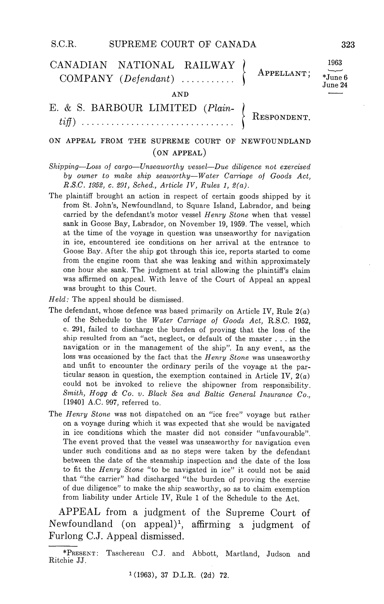## S.C.R. SUPREME COURT OF CANADA 323

| CANADIAN NATIONAL RAILWAY |  | $APPELLAND$ ; $\overline{June}$ | 1963                |
|---------------------------|--|---------------------------------|---------------------|
| $COMPANY$ (Defendant)     |  |                                 | June 2 <sub>4</sub> |

AND

BARBOUR LIMITED (Plain RESPONDENT tiff

## ON APPEAL FROM THE SUPREME COURT OF NEWFOUNDLAND  $(ON APPEAL)$

 $Shipping—Loss of cargo—Unseaworthy vessel—Due diligence not exercised$ by owner to make ship seaworthy-Water Carriage of Goods Act, R.S.C. 1952, c. 291, Sched., Article IV, Rules 1,  $2(a)$ .

- The plaintiff brought an action in respect of certain goods shipped by it from St. John's, Newfoundland, to Square Island, Labrador, and being carried by the defendant's motor vessel Henry Stone when that vessel sank in Goose Bay, Labrador, on November 19, 1959. The vessel, which at the time of the voyage in question was unseaworthy for navigation in ice, encountered ice conditions on her arrival at the entrance to Goose Bay. After the ship got through this ice, reports started to come from the engine room that she was leaking and within approximately one hour she sank. The judgment at trial allowing the plaintiff's claim was affirmed on appeal With leave of the Court of Appeal an appeal was brought to this Court
- $Held$ : The appeal should be dismissed.
- The defendant, whose defence was based primarily on Article IV, Rule  $2(a)$  of the Schedule to the Water Carriage of Goods Act, R.S.C. 1952, <sup>291</sup> failed to discharge the burden of proving that the loss of the ship resulted from an "act, neglect, or default of the master  $\dots$  in the navigation or in the management of the ship". In any event, as the loss was occasioned by the fact that the Henry Stone was unseaworthy and unfit to encounter the ordinary perils of the voyage at the particular season in question, the exemption contained in Article IV,  $2(a)$ could not be invoked to relieve the shipowner from responsibility. Smith, Hogg & Co. v. Black Sea and Baltic General Insurance Co., [1940] A.C. 997, referred to.
- The Henry Stone was not dispatched on an "ice free" voyage but rather on a voyage during which it was expected that she would be navigated in ice conditions which the master did not consider "unfavourable". The event proved that the vessel was unseaworthy for navigation even under such conditions and as no steps were taken by the defendant between the date of the steamship inspection and the date of the loss to fit the Henry Stone "to be navigated in ice" it could not be said that "the carrier" had discharged "the burden of proving the exercise of due diligence" to make the ship seaworthy, so as to claim exemption from liability under Article IV, Rule 1 of the Schedule to the Act.

APPEAL from a judgment of the Supreme Court of Newfoundland (on appeal)<sup>1</sup>, affirming a judgment of Furlong C.J. Appeal dismissed.

6  $\overline{\mathbf{4}}$ 

<sup>\*</sup>PRESENT: Taschereau C.J. and Abbott, Martland, Judson and Ritchie JJ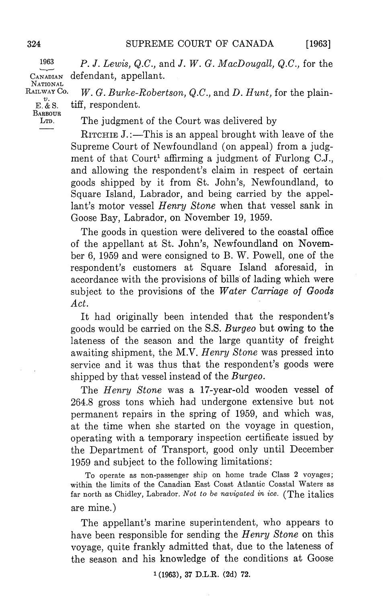$[1963]$ 

 $1963$  P. J. Lewis, Q.C., and J. W. G. MacDougall, Q.C., for the CANADIAN defendant, appellant. **NATIONAL** 

RAILWAY Co **BARBOUR**  $W. G.$  Burke-Robertson, Q.C., and D. Hunt, for the plaintiff, respondent.

LTD. The judgment of the Court was delivered by

RITCHIE  $J$ .:—This is an appeal brought with leave of the Supreme Court of Newfoundland (on appeal) from a judgment of that  $\text{Contr}^1$  affirming a judgment of Furlong C.J., and allowing the respondent's claim in respect of certain goods shipped by it from St. John's, Newfoundland, to Square Island, Labrador, and being carried by the appellant's motor vessel Henry Stone when that vessel sank in Goose Bay, Labrador, on November 19, 1959.

The goods in question were delivered to the coastal office of the appellant at St. John's, Newfoundland on November 6, 1959 and were consigned to B. W. Powell, one of the respondent's customers at Square Island aforesaid, in accordance with the provisions of bills of lading which were subject to the provisions of the Water Carriage of Goods Act.

It had originally been intended that the respondent's goods would be carried on the S.S Burgeo but owing to the lateness of the season and the large quantity of freight awaiting shipment, the M.V. Henry Stone was pressed into service and it was thus that the respondent's goods were shipped by that vessel instead of the  $Burgeo$ .

The Henry Stone was a 17-year-old wooden vessel of 264.8 gross tons which had undergone extensive but not permanent repairs in the spring of 1959, and which was, at the time when she started on the voyage in question operating with a temporary inspection certificate issued by the Department of Transport, good only until December <sup>1959</sup> and subject to the following limitations

To operate as non-passenger ship on home trade Class 2 voyages; within the limits of the Canadian East Coast Atlantic Coastal Waters as far north as Chidley, Labrador. Not to be navigated in ice. (The italics are mine

The appellant's marine superintendent, who appears to have been responsible for sending the Henry Stone on this voyage, quite frankly admitted that, due to the lateness of the season and his knowledge of the conditions at Goose

 $E.$ & S.

 $1(1963)$ , 37 D.L.R.  $(2d)$  72.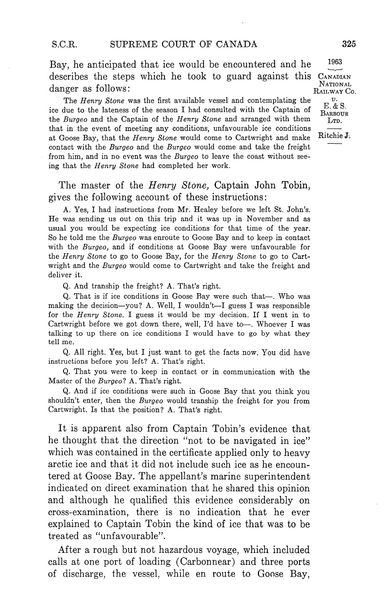Bay, he anticipated that ice would be encountered and he describes the steps which he took to guard against this CANADIAN NATIONAL  $\alpha$ danger as follows:  $\alpha$ <sub>NAILWAY</sub> Co.

The Henry Stone was the first available vessel and contemplating the ice due to the lateness of the season I had consulted with the Captain of the Burgeo and the Captain of the Henry Stone and arranged with them LO that in the event of meeting any conditions, unfavourable ice conditions  $\frac{L}{L}$  at Geose Bay, that the Henry Stone would some to Capturight and ma at Goose Bay, that the Henry Stone would come to Cartwright and make contact with the Burgeo and the Burgeo would come and take the freight from him, and in no event was the Burgeo to leave the coast without seeing that the Henry Stone had completed her work.

The master of the *Henry Stone*, Captain John Tobin, gives the following account of these instructions

A. Yes, I had instructions from Mr. Healey before we left St. John's. He was sending us out on this trip and it was up in November and as usual you would be expecting ice conditions for that time of the year So he told me the Burgeo was enroute to Goose Bay and to keep in contact with the Burgeo, and if conditions at Goose Bay were unfavourable for the Henry Stone to go to Goose Bay, for the Henry Stone to go to Cartwright and the Burgeo would come to Cartwright and take the freight and deliver it

Q. And tranship the freight? A. That's right.

Q. That is if ice conditions in Goose Bay were such that-. Who was making the decision-you? A. Well, I wouldn't-I guess I was responsible for the *Henry Stone*. I guess it would be my decision. If I went in to Cartwright before we got down there, well, I'd have to --. Whoever I was talking to up there on ice conditions I would have to go by what they tell me

Q. All right. Yes, but I just want to get the facts now. You did have instructions before you left? A. That's right.

That you were to keep in contact or in communication with the Master of the Burgeo? A. That's right.

And if ice conditions were such in Goose Bay that you think you shouldn't enter, then the Burgeo would tranship the freight for you from Cartwright. Is that the position? A. That's right.

It is apparent also from Captain Tobin's evidence that he thought that the direction "not to be navigated in ice" which was contained in the certificate applied only to heavy arctic ice and that it did not include such ice as he encoun tered at Goose Bay. The appellant's marine superintendent indicated on direct examination that he shared this opinion and although he qualified this evidence considerably on cross-examination there is no indication that he ever explained to Captain Tobin the kind of ice that was to be treated as "unfavourable".

After a rough but not hazardous voyage, which included calls at one port of loading (Carbonnear) and three ports of discharge, the vessel, while en route to Goose Bay,

 $\boldsymbol{v}$ . E. & S. **BARBOUR** 

1963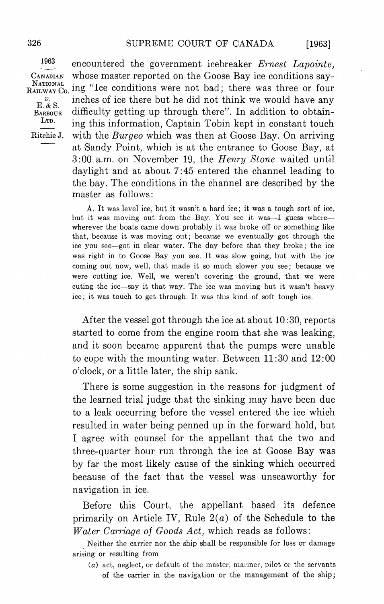$[1963]$ 

1963  $\upsilon.$ LTD.

encountered the government icebreaker Ernest Lapointe, CANADIAN whose master reported on the Goose Bay ice conditions say- $R_{\text{ALWAY}}^{\text{NATIONAL}}$  ing "Ice conditions were not bad; there was three or four inches of ice there but he did not think we would have any  $E. & S.$  Honor difficulty getting up through there". In addition to obtaining this information, Captain Tobin kept in constant touch Ritchie J. with the *Burgeo* which was then at Goose Bay. On arriving at Sandy Point, which is at the entrance to Goose Bay, at 3:00 a.m. on November 19, the Henry Stone waited until daylight and at about 7:45 entered the channel leading to the bay The conditions in the channel are described by the master as follows

> A. It was level ice, but it wasn't a hard ice; it was a tough sort of ice, but it was moving out from the Bay. You see it was-I guess wherewherever the boats came down probably it was broke off or something like that, because it was moving out; because we eventually got through the ice you see-got in clear water. The day before that they broke; the ice was right in to Goose Bay you see. It was slow going, but with the ice coming out now, well, that made it so much slower you see; because we were cutting ice. Well, we weren't covering the ground, that we were cuting the ice-say it that way. The ice was moving but it wasn't heavy ice; it was touch to get through. It was this kind of soft tough ice.

> After the vessel got through the ice at about  $10:30$ , reports started to come from the engine room that she was leaking and it soon became apparent that the pumps were unable to cope with the mounting water. Between  $11:30$  and  $12:00$ o'clock, or a little later, the ship sank.

> There is some suggestion in the reasons for judgment of the learned trial judge that the sinking may have been due to a leak occurring before the vessel entered the ice which resulted in water being penned up in the forward hold, but agree with counsel for the appellant that the two and three-quarter hour run through the ice at Goose Bay was by far the most likely cause of the sinking which occurred because of the fact that the vessel was unseaworthy for navigation in ice

> Before this Court, the appellant based its defence primarily on Article IV, Rule  $2(a)$  of the Schedule to the Water Carriage of Goods Act, which reads as follows:

> Neither the carrier nor the ship shall be responsible for loss or damage arising or resulting from

 $(a)$  act, neglect, or default of the master, mariner, pilot or the servants of the carrier in the navigation or the management of the ship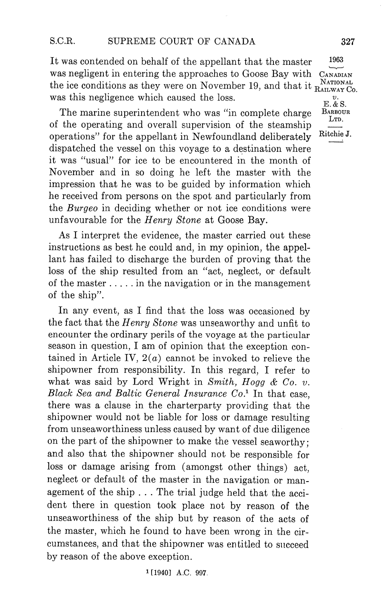It was contended on behalf of the appellant that the master 1963 was negligent in entering the approaches to Goose Bay with CANADIAN the ice conditions as they were on November 19, and that it  $_{\text{Ratlwarz}}^{\text{NATIONAL}}$ was this negligence which caused the loss

as this negligence which caused the loss.<br>The marine superintendent who was "in complete charge BABBOUR of the operating and overall supervision of the steamship operations" for the appellant in Newfoundland deliberately Ritchie J. dispatched the vessel on this voyage to a destination where it was "usual" for ice to be encountered in the month of November and in so doing he left the master with the impression that he was to be guided by information which he received from persons on the spot and particularly from the Burgeo in deciding whether or not ice conditions were unfavourable for the Henry Stone at Goose Bay.

As I interpret the evidence, the master carried out these instructions as best he could and, in my opinion, the appellant has failed to discharge the burden of proving that the loss of the ship resulted from an "act, neglect, or default of the master  $\dots$  in the navigation or in the management of the ship

In any event, as I find that the loss was occasioned by the fact that the Henry Stone was unseaworthy and unfit to encounter the ordinary perils of the voyage at the particular season in question, I am of opinion that the exception contained in Article IV,  $2(a)$  cannot be invoked to relieve the shipowner from responsibility. In this regard, I refer to what was said by Lord Wright in Smith, Hogg & Co. v. Black Sea and Baltic General Insurance  $Co<sup>1</sup>$  In that case. there was a clause in the charterparty providing that the shipowner would not be liable for loss or damage resulting from unseaworthiness unless caused by want of due diligence on the part of the shipowner to make the vessel seaworthy and also that the shipowner should not be responsible for loss or damage arising from (amongst other things) act. neglect or default of the master in the navigation or man agement of the ship . . . The trial judge held that the accident there in question took place not by reason of the unseaworthiness of the ship but by reason of the acts of the master, which he found to have been wrong in the circumstances, and that the shipowner was entitled to succeed by reason of the above exception